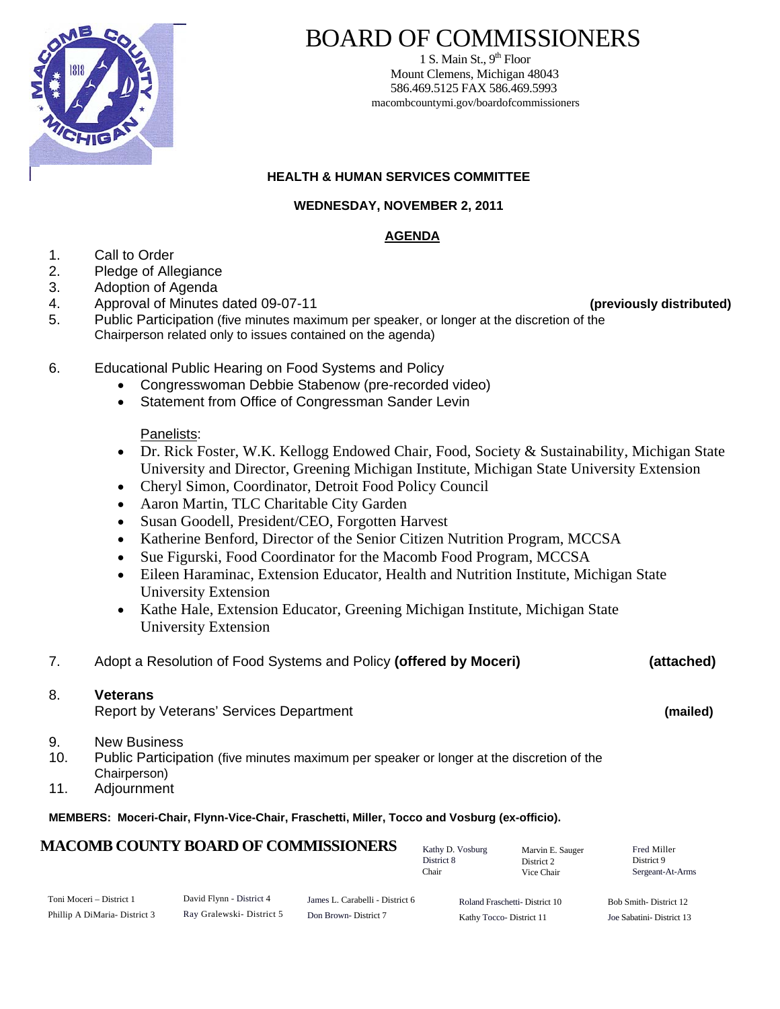

### BOARD OF COMMISSIONERS

1 S. Main St.,  $9<sup>th</sup>$  Floor Mount Clemens, Michigan 48043 586.469.5125 FAX 586.469.5993 macombcountymi.gov/boardofcommissioners

#### **HEALTH & HUMAN SERVICES COMMITTEE**

#### **WEDNESDAY, NOVEMBER 2, 2011**

### **AGENDA**

- 1. Call to Order
- 2. Pledge of Allegiance
- 3. Adoption of Agenda
- 4. Approval of Minutes dated 09-07-11 **(previously distributed)**
- 5. Public Participation (five minutes maximum per speaker, or longer at the discretion of the Chairperson related only to issues contained on the agenda)
- 

- 6. Educational Public Hearing on Food Systems and Policy
	- Congresswoman Debbie Stabenow (pre-recorded video)
	- Statement from Office of Congressman Sander Levin

#### Panelists:

- Dr. Rick Foster, W.K. Kellogg Endowed Chair, Food, Society & Sustainability, Michigan State University and Director, Greening Michigan Institute, Michigan State University Extension
- Cheryl Simon, Coordinator, Detroit Food Policy Council
- Aaron Martin, TLC Charitable City Garden
- Susan Goodell, President/CEO, Forgotten Harvest
- Katherine Benford, Director of the Senior Citizen Nutrition Program, MCCSA
- Sue Figurski, Food Coordinator for the Macomb Food Program, MCCSA
- Eileen Haraminac, Extension Educator, Health and Nutrition Institute, Michigan State University Extension
- Kathe Hale, Extension Educator, Greening Michigan Institute, Michigan State University Extension
- 7. Adopt a Resolution of Food Systems and Policy **(offered by Moceri) (attached)**

#### 8. **Veterans**

Report by Veterans' Services Department **(mailed)** 

- 9. New Business
- 10. Public Participation (five minutes maximum per speaker or longer at the discretion of the Chairperson)
- 11. Adjournment

#### **MEMBERS: Moceri-Chair, Flynn-Vice-Chair, Fraschetti, Miller, Tocco and Vosburg (ex-officio).**

Toni Moceri – District 1 Phillip A DiMaria- District 3 David Flynn - District 4 Ray Gralewski- District 5 Kathy D. Vosburg District 8 Chair Roland Fraschetti- District 10 Kathy Tocco- District 11 **MACOMB COUNTY BOARD OF COMMISSIONERS** Kathy D. Vosburg Marvin F. Sauger Fred Miller District 9 Sergeant-At-Arms Marvin E. Sauger District 2 Vice Chair James L. Carabelli - District 6 Don Brown- District 7 Bob Smith- District 12 Joe Sabatini- District 13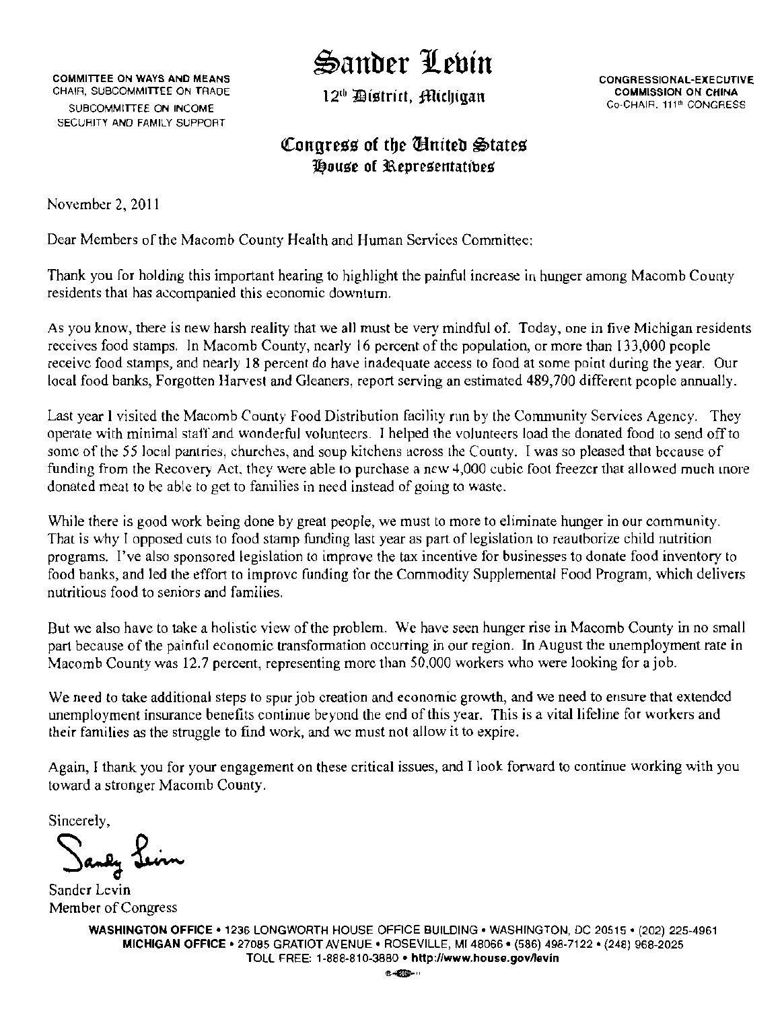## ~anber Jf.ebin

COMMITTEE ON WAYS AND MEANS<br>CHAIR, SUBCOMMITTEE ON TRADE 1.2th This is the matrix of the conduct commission on CHINA CHAIR, SUBCOMMITTEE ON TRADE SUBCOMMITTEE ON INCOME SECURITY AND FAMilY SUPPORT

12<sup>th</sup> *District*, *filichiaan* 

Co-CHAIR. 111<sup>th</sup> CONGRESS

### Congress of the *Chited* States *Pouse of Representatibes*

November 2, 2011

Dear Members of the Macomb County Health and Human Services Committee:

Thank you for holding this important hearing to highlight the painful increase in hunger among Macomb County residents that has accompanied this economic downturn.

As you know, there is new harsh reality that we all must be very mindful of. Today, one in five Michigan residents receives food stamps. In Macomb County, nearly 16 percent of the population, or more than 133,000 people receive food stamps, and nearly 18 percent do have inadequate access to food at some point during the year. Our local food banks, Forgotten Harvest and Gleaners, report serving an estimated 489,700 different people annually.

Last year I visited the Macomb County Food Distribution facility nm by the Community Services Agency. They operate with minimal staff and wonderful volunteers. I helped the volunteers load the donated food to send offto some of the 55 local pantries, churches, and soup kitchens across the County. I was so pleased that because of funding from the Recovery Act, they were able to purchase a new 4,000 cubic foot freezer that allowed much more donated meat to be able to get to families in need instead of going to waste.

While there is good work being done by great people, we must to more to eliminate hunger in our community. That is w'hy I opposed cuts to food stamp funding last year as part of legislation to reauthorize child nutrition programs. I've also sponsored legislation to improve the tax incentive for businesses to donate food inventory to food banks, and led the effort to improve funding for the Commodity Supplemental Food Program, which delivers nutritious food to seniors and families.

But we also have to take a holistic view of the problem. We have seen hunger rise in Macomb County in no small part because of the painful economic transformation occurring in our region. In August the unemployment rate in Macomb County was 12.7 percent, representing more than 50,000 workers who were looking for ajob.

We need to take additional steps to spur job creation and economic growth, and we need to ensure that extended unemployment insurance benefits continue beyond the end of this year. This is a vital lifeline for workers and their families as the struggle to find work, and we must not allow it to expire.

Again, I thank you for your engagement on these critical issues, and I look forward to continue working with you toward a stronger Macomb County.

Sincerely,

Saney <u>Levin</u>

 Sander Levin Member of Congress

WASHINGTON OFFICE -1236 LONGWORTH HOUSE OFFICE BUILDING· WASHINGTON, DC 20515· (202) 225-4961 MICHIGAN OFFICE - 27085 GRATIOT AVENUE. ROSEVILLE, MI48066 - (586) 498-7122 - (248) 968-2025 TOLL FREE: 1-888-810-3880 · http://www.house.gov/levin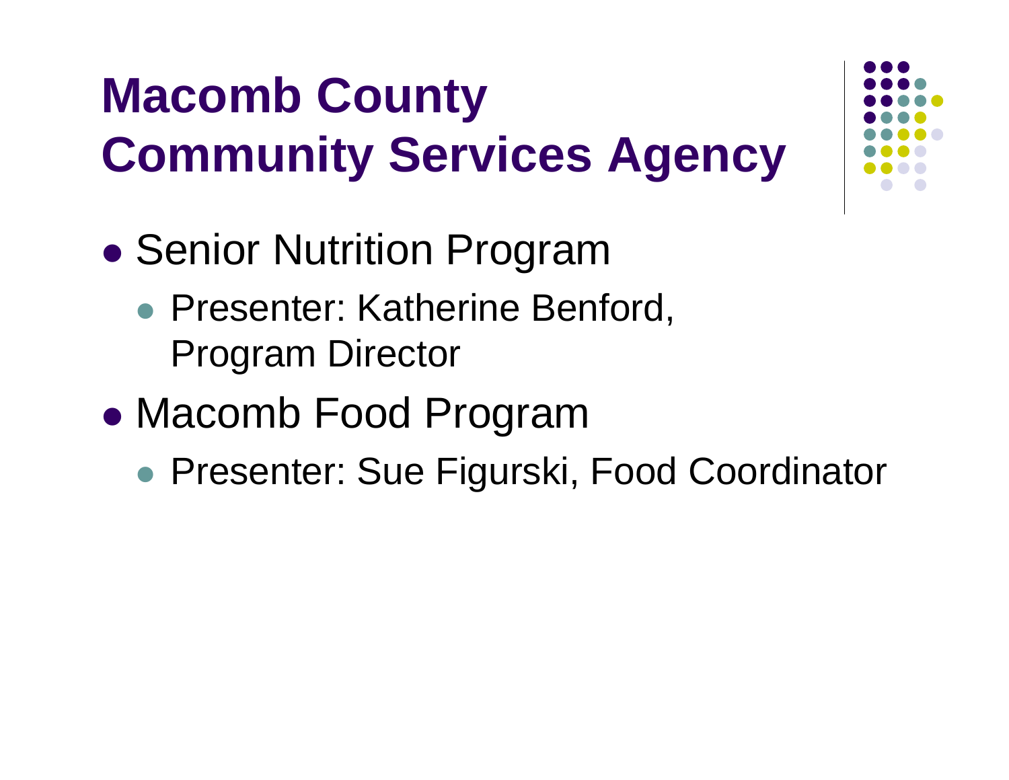# **Macomb County Community Services Agency**

- $\bullet$ **• Senior Nutrition Program** 
	- **Presenter: Katherine Benford,** Program Director
- $\bullet$  Macomb Food Program
	- $\bullet$ Presenter: Sue Figurski, Food Coordinator

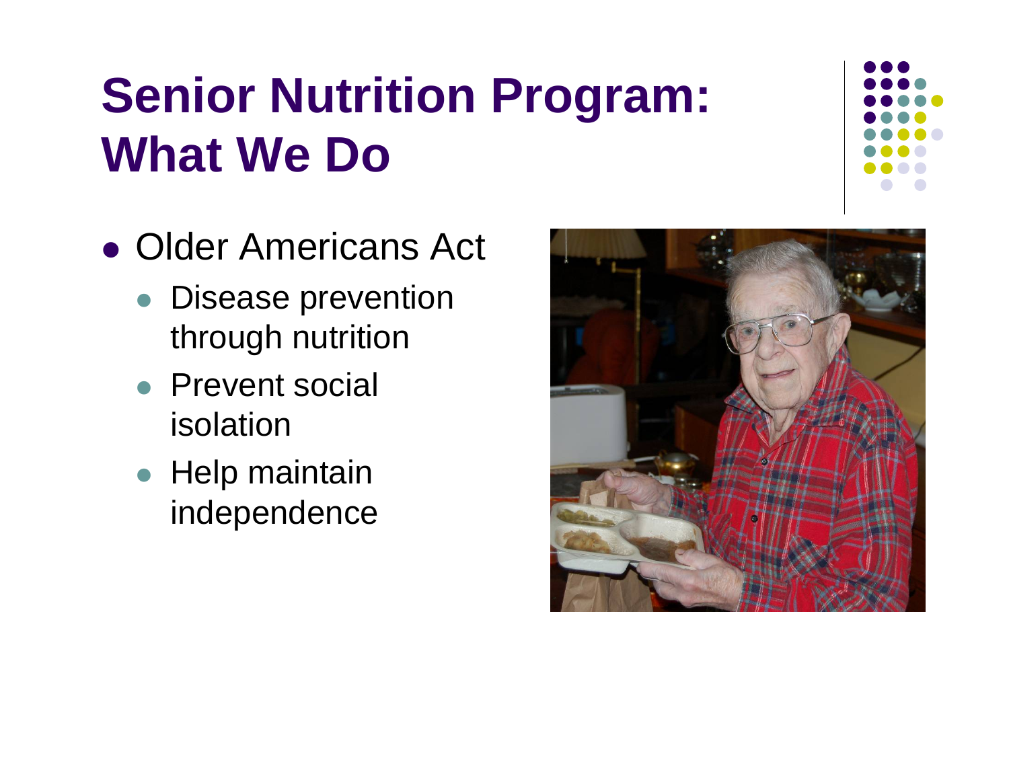# **Senior Nutrition Program: What We Do**

- Older Americans Act
	- Disease prevention through nutrition
	- Prevent social isolation
	- Help maintain independence

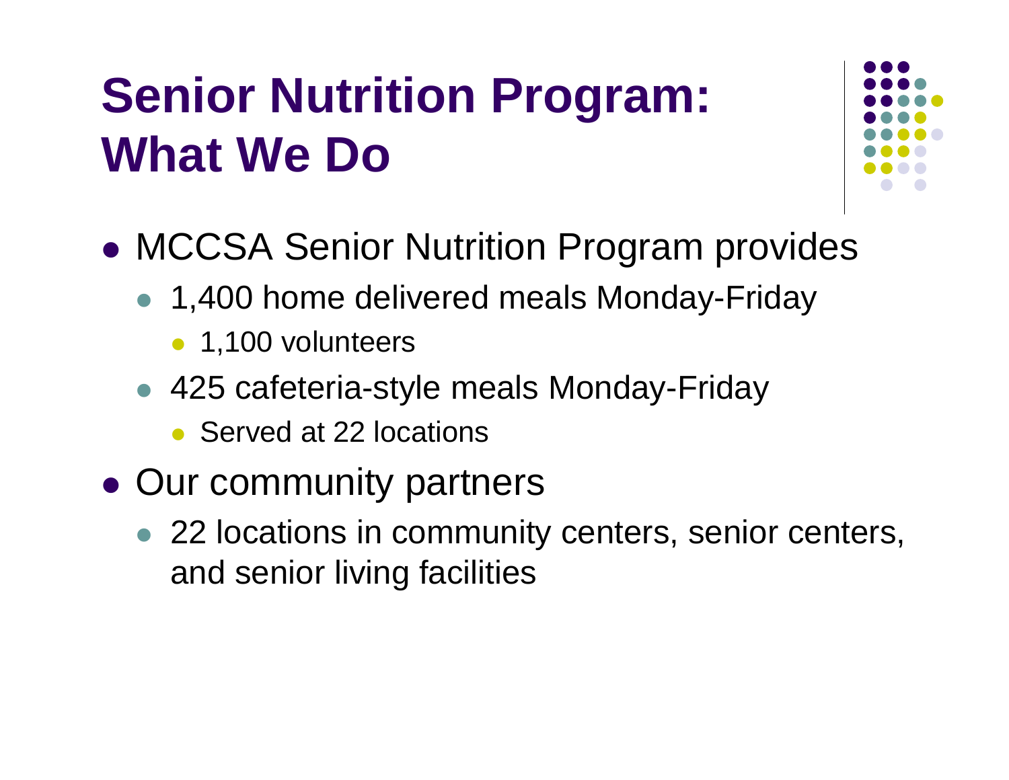# **Senior Nutrition Program: What We Do**



- $\bullet$  MCCSA Senior Nutrition Program provides
	- 1,400 home delivered meals Monday-Friday
		- 1,100 volunteers
	- 425 cafeteria-style meals Monday-Friday
		- Served at 22 locations
- Our community partners
	- 22 locations in community centers, senior centers, and senior living facilities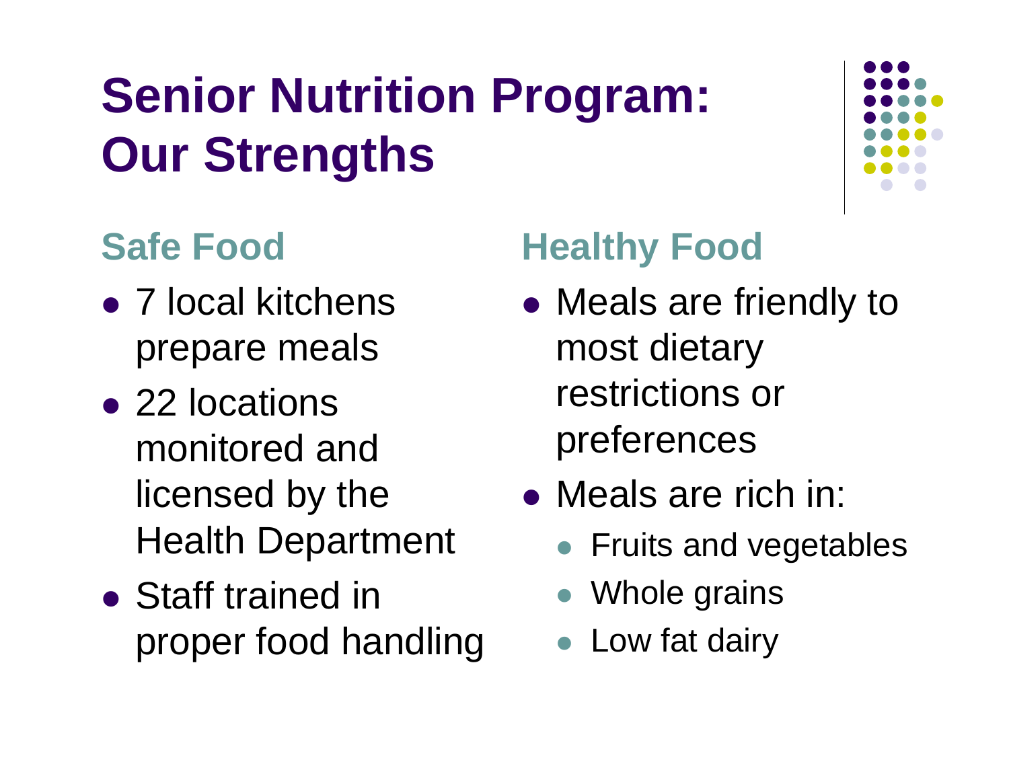# **Senior Nutrition Program: Our Strengths**

## **Safe Food**

- 7 local kitchens prepare meals
- 22 locations monitored and licensed by the Health Department
- Staff trained in proper food handling

## **Healthy Food**

- Meals are friendly to most dietary restrictions or preferences
- Meals are rich in:
	- **Fruits and vegetables**
	- Whole grains
	- **Low fat dairy**

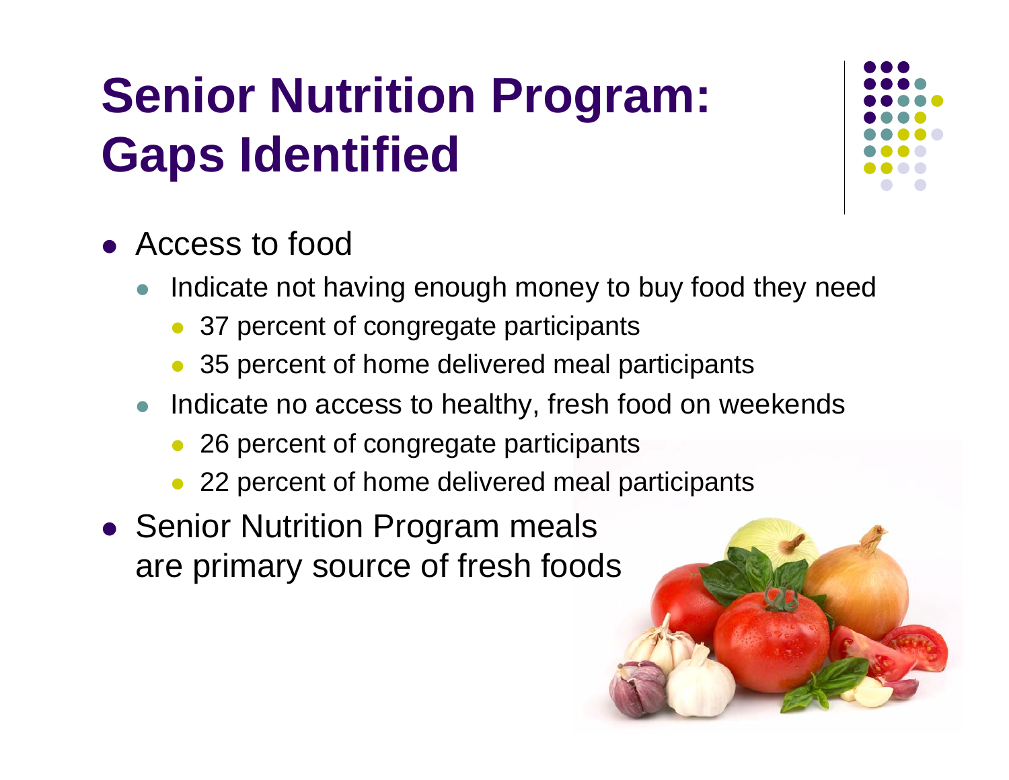# **Senior Nutrition Program: Gaps Identified**



- Access to food
	- $\bullet$  Indicate not having enough money to buy food they need
		- 37 percent of congregate participants
		- $\bullet$ 35 percent of home delivered meal participants
	- Indicate no access to healthy, fresh food on weekends
		- 26 percent of congregate participants
		- $\bullet$ 22 percent of home delivered meal participants
- **Senior Nutrition Program meals** are primary source of fresh foods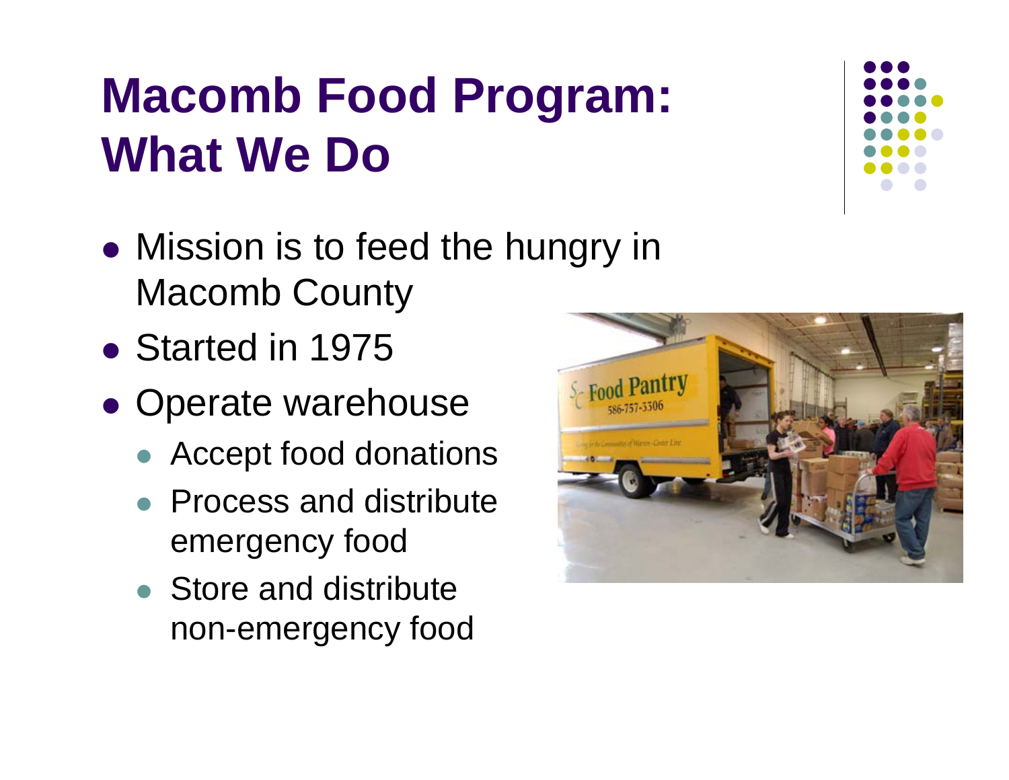# **Macomb Food Program: What We Do**

- Mission is to feed the hungry in Macomb County
- Started in 1975
- Operate warehouse
	- Accept food donations
	- Process and distribute emergency food
	- Store and distribute non-emergency food



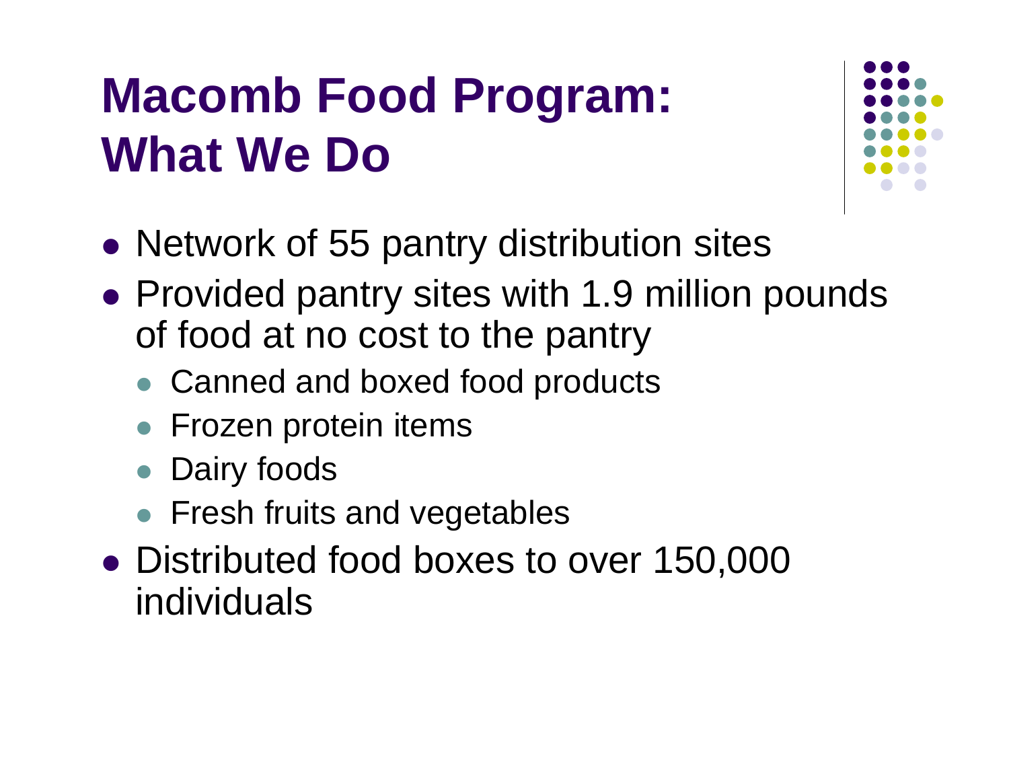# **Macomb Food Program: What We Do**



- Network of 55 pantry distribution sites
- Provided pantry sites with 1.9 million pounds of food at no cost to the pantry
	- Canned and boxed food products
	- **Frozen protein items**
	- **Dairy foods**
	- **Fresh fruits and vegetables**
- Distributed food boxes to over 150,000 individuals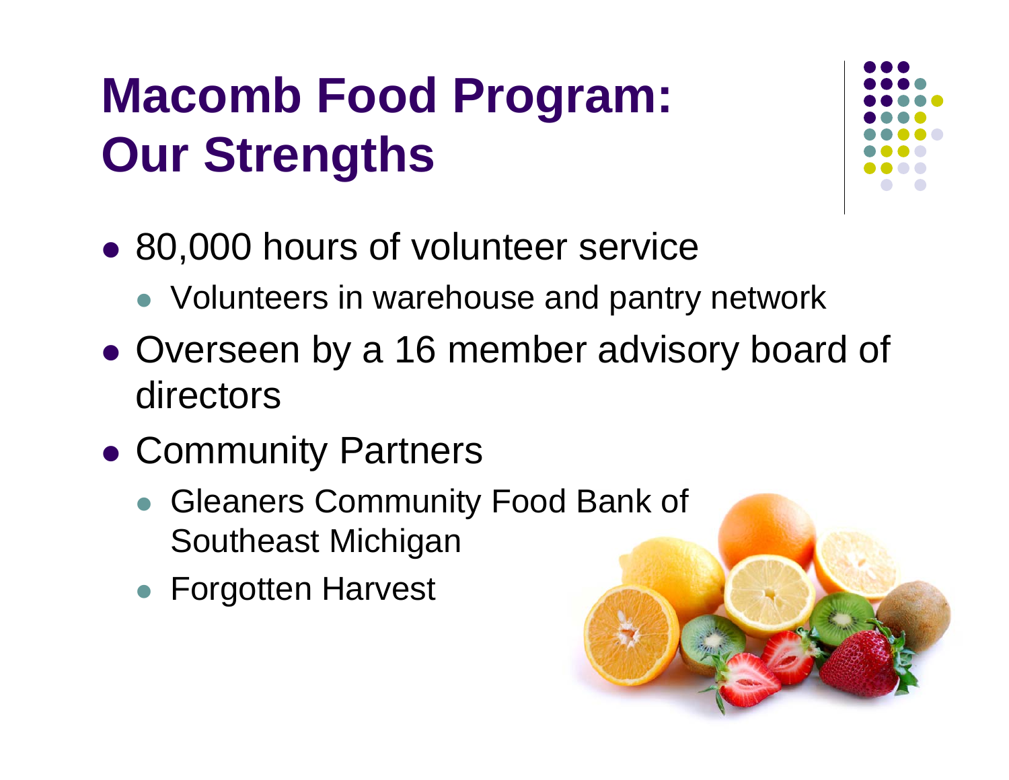# **Macomb Food Program: Our Strengths**



- 80,000 hours of volunteer service
	- Volunteers in warehouse and pantry network
- Overseen by a 16 member advisory board of directors
- Community Partners
	- **Gleaners Community Food Bank of** Southeast Michigan
	- **Forgotten Harvest**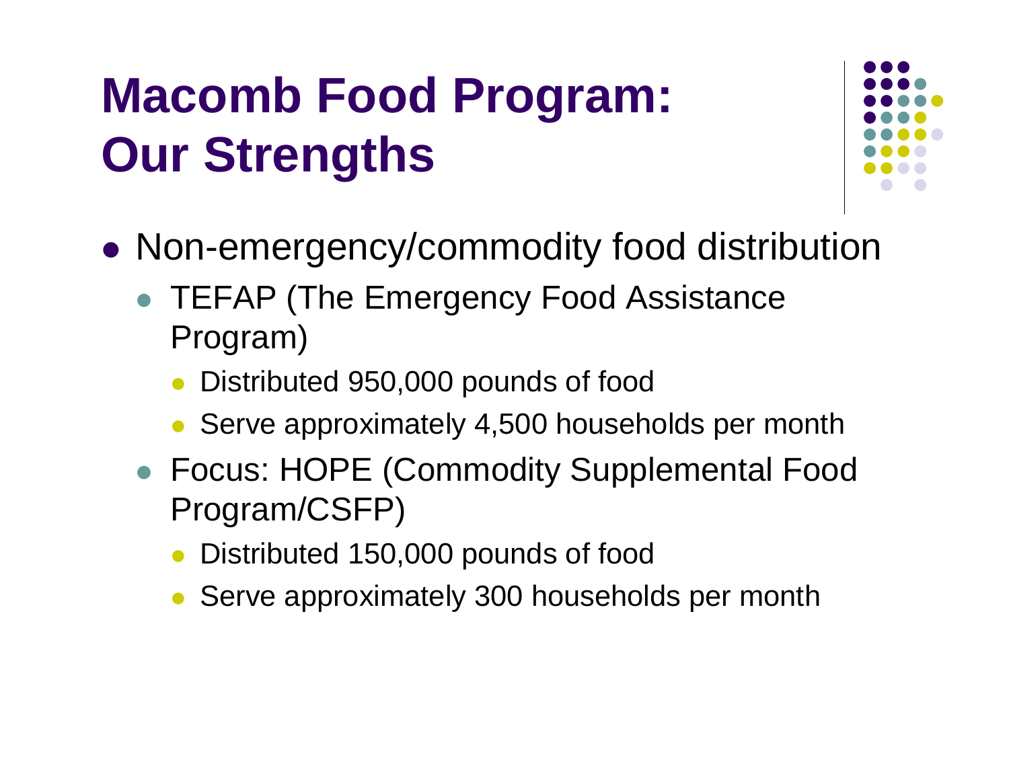# **Macomb Food Program: Our Strengths**



- $\bullet$  Non-emergency/commodity food distribution
	- TEFAP (The Emergency Food Assistance Program)
		- $\bullet$ Distributed 950,000 pounds of food
		- Serve approximately 4,500 households per month
	- Focus: HOPE (Commodity Supplemental Food Program/CSFP)
		- Distributed 150,000 pounds of food
		- Serve approximately 300 households per month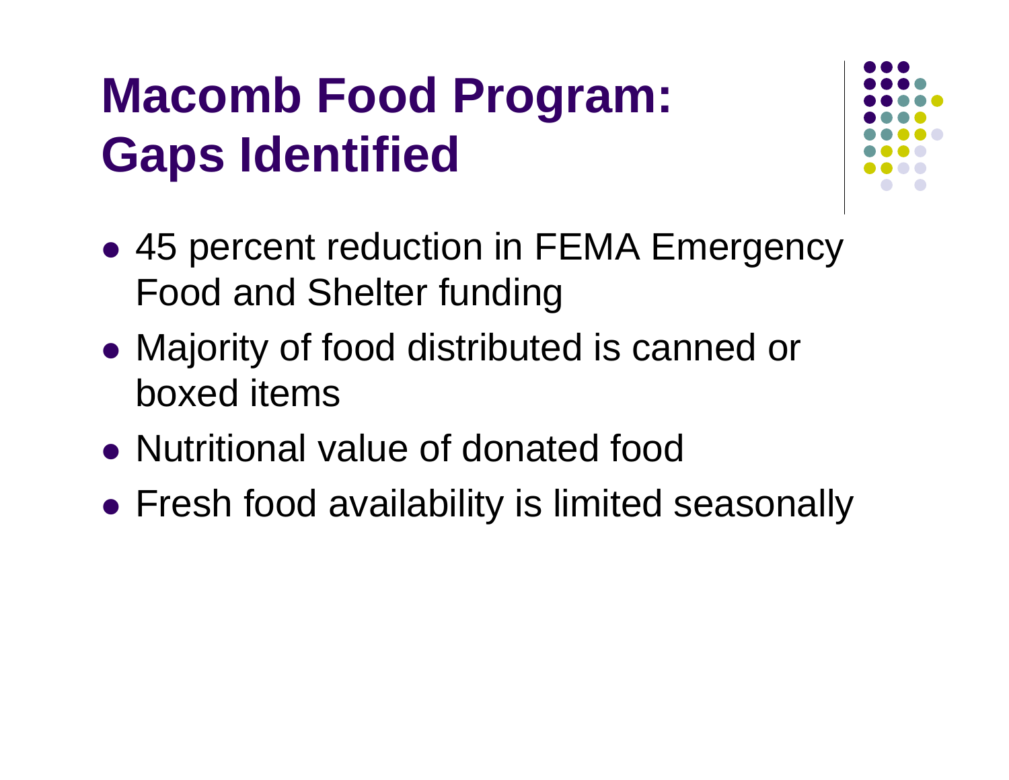# **Macomb Food Program: Gaps Identified**



- 45 percent reduction in FEMA Emergency Food and Shelter funding
- Majority of food distributed is canned or boxed items
- Nutritional value of donated food
- Fresh food availability is limited seasonally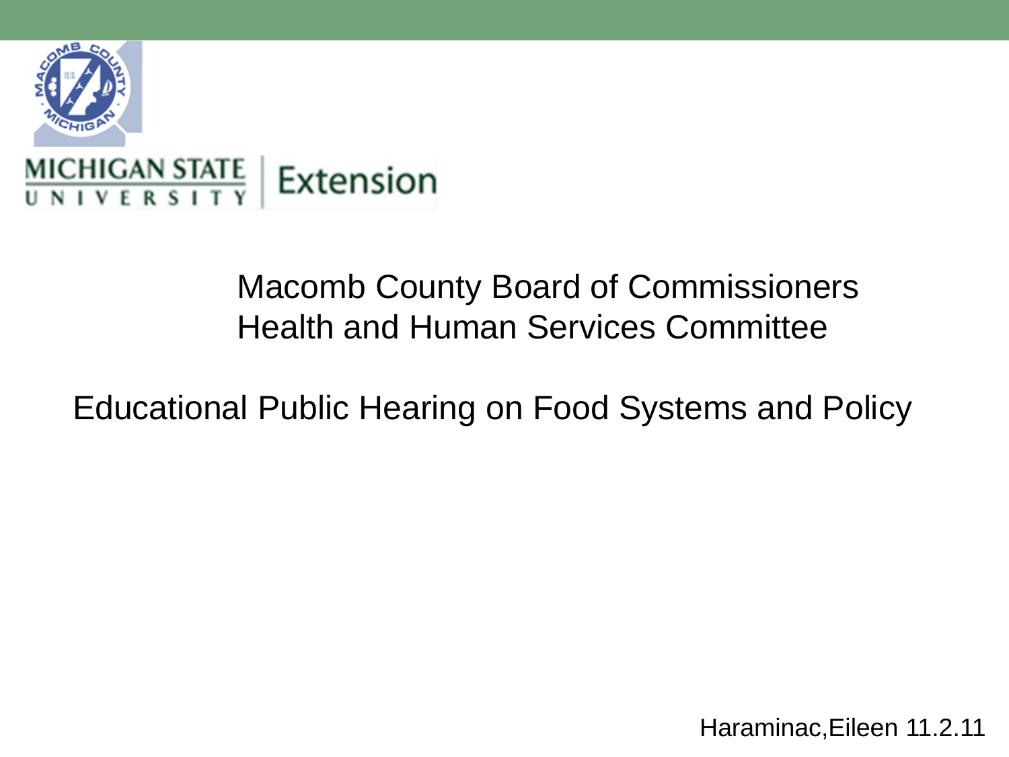

## Macomb County Board of Commissioners Health and Human Services Committee

Educational Public Hearing on Food Systems and Policy

Haraminac,Eileen 11.2.11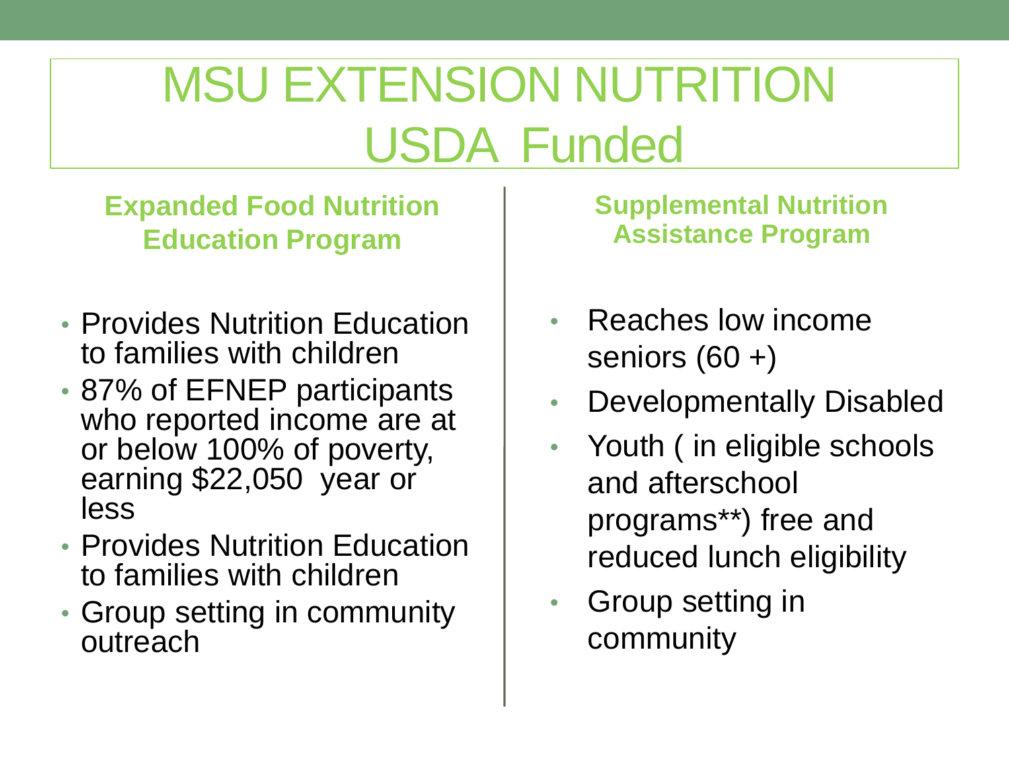# MSU EXTENSION NUTRITION USDA Funded

**Expanded Food Nutrition Education Program**

- Provides Nutrition Education to families with children
- 87% of EFNEP participants who reported income are at or below 100% of poverty, earning \$22,050 year or less
- Provides Nutrition Education to families with children
- Group setting in community outreach

**Supplemental Nutrition Assistance Program**

- Reaches low income seniors (60 +)
- Developmentally Disabled
- Youth (in eligible schools and afterschool programs\*\*) free and reduced lunch eligibility
- Group setting in community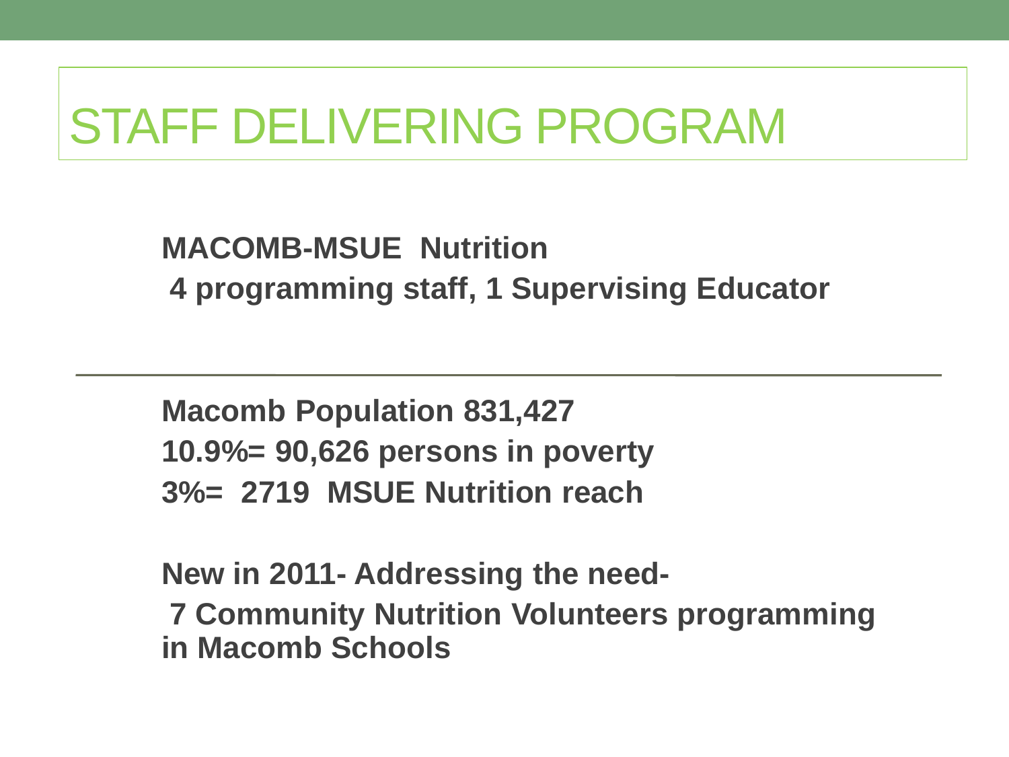## STAFF DELIVERING PROGRAM

**MACOMB-MSUE Nutrition 4 programming staff, 1 Supervising Educator**

**Macomb Population 831,427 10.9%= 90,626 persons in poverty 3%= 2719 MSUE Nutrition reach**

**New in 2011- Addressing the need-7 Community Nutrition Volunteers programming in Macomb Schools**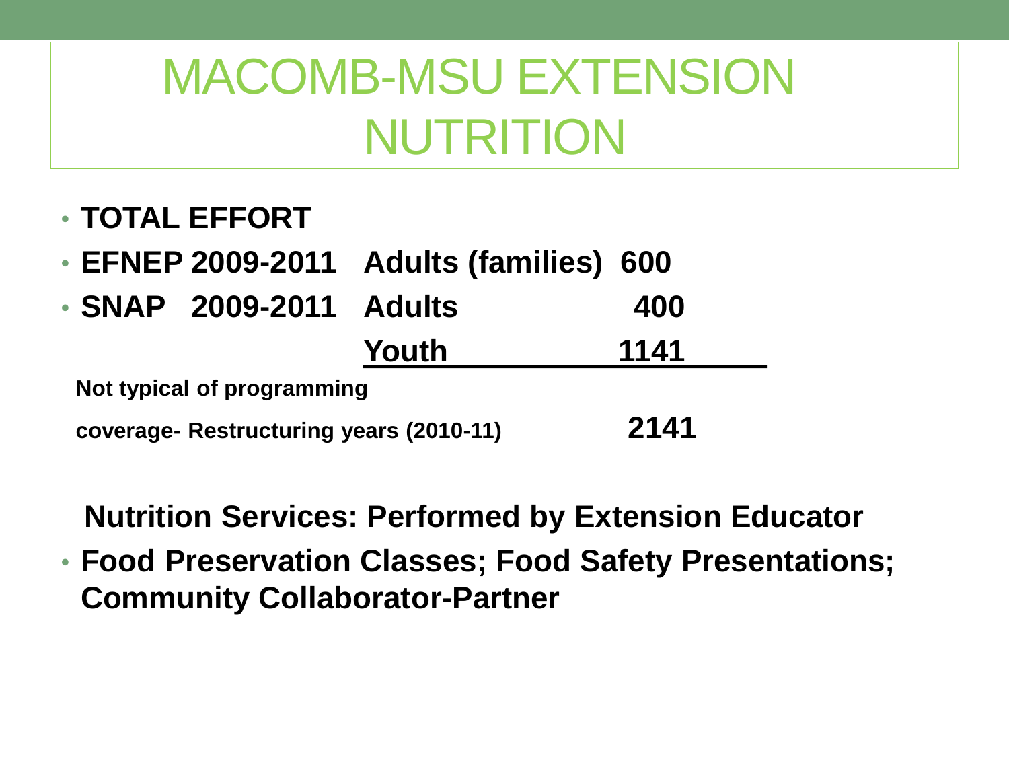## MACOMB-MSU EXTENSION NUTRITION

- **TOTAL EFFORT**
- **EFNEP 2009-2011 Adults (families) 600**
- **SNAP 2009-2011 Adults 400 Youth 1141**

**Not typical of programming** 

**coverage- Restructuring years (2010-11) 2141**

**Nutrition Services: Performed by Extension Educator**

• **Food Preservation Classes; Food Safety Presentations; Community Collaborator-Partner**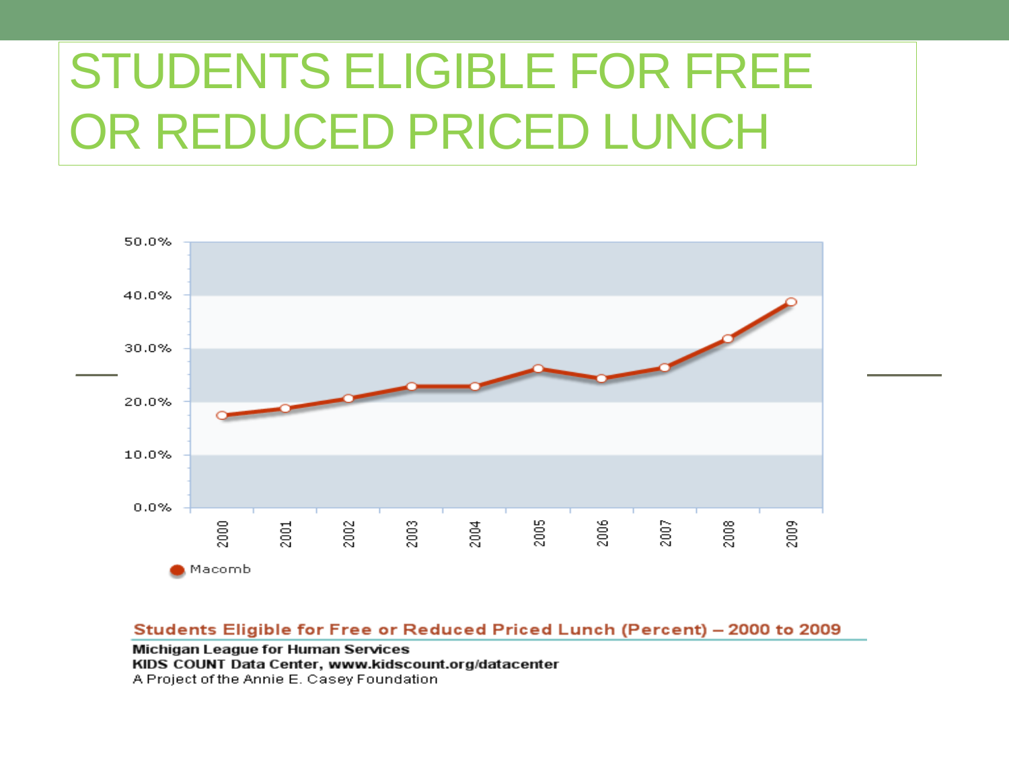# STUDENTS ELIGIBLE FOR FREE OR REDUCED PRICED LUNCH



#### Students Eligible for Free or Reduced Priced Lunch (Percent) - 2000 to 2009

Michigan League for Human Services KIDS COUNT Data Center, www.kidscount.org/datacenter A Project of the Annie E. Casey Foundation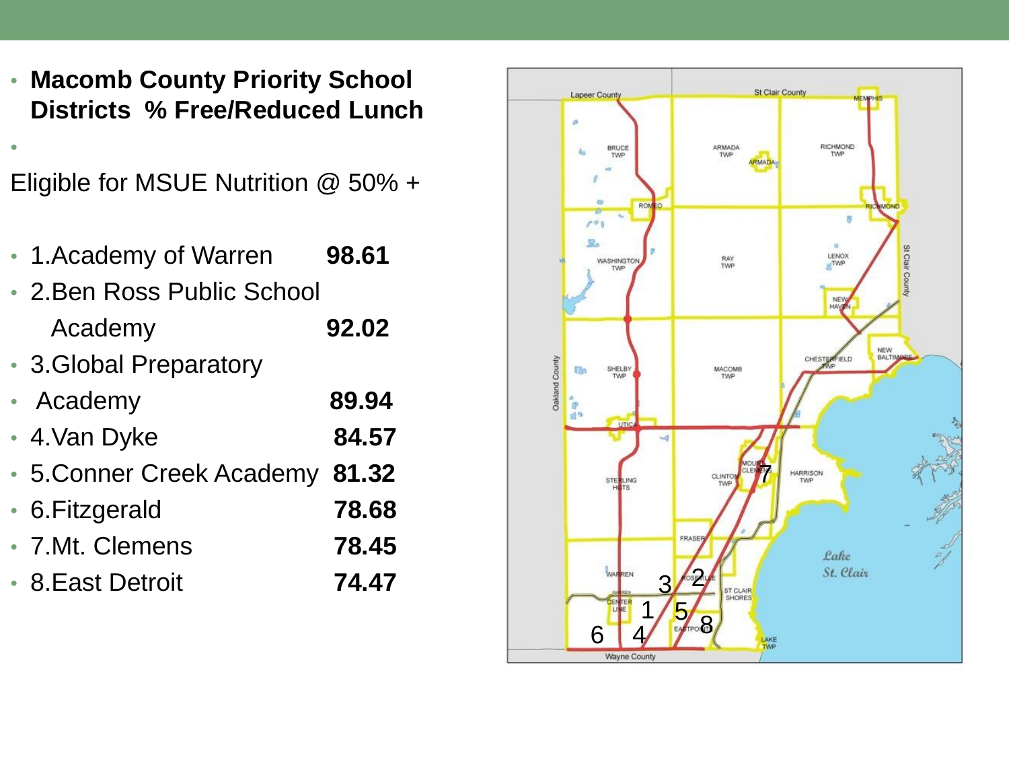• **Macomb County Priority School Districts % Free/Reduced Lunch**

Eligible for MSUE Nutrition @ 50% +

- 1.Academy of Warren **98.61**
- 2.Ben Ross Public School Academy **92.02**
- 3.Global Preparatory

•

- Academy **89.94**
- 4.Van Dyke **84.57**
- 5.Conner Creek Academy **81.32**
- 6.Fitzgerald **78.68**
- 7.Mt. Clemens **78.45**
- 8.East Detroit **74.47**

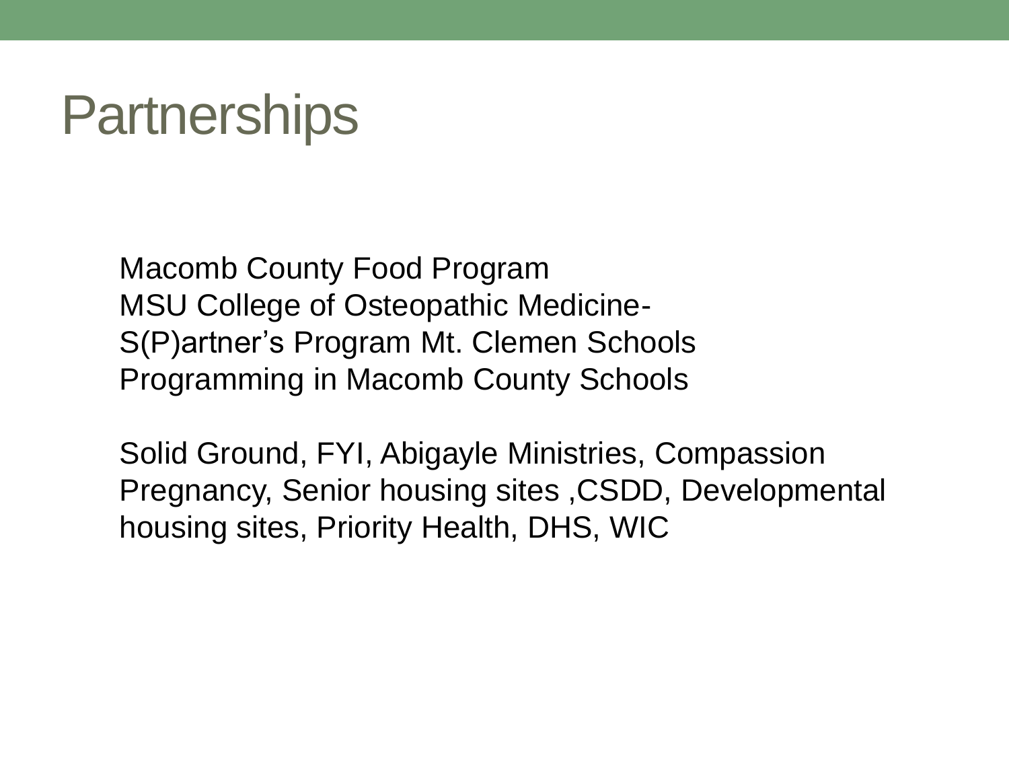## **Partnerships**

Macomb County Food Program MSU College of Osteopathic Medicine-S(P)artner's Program Mt. Clemen Schools Programming in Macomb County Schools

Solid Ground, FYI, Abigayle Ministries, Compassion Pregnancy, Senior housing sites ,CSDD, Developmental housing sites, Priority Health, DHS, WIC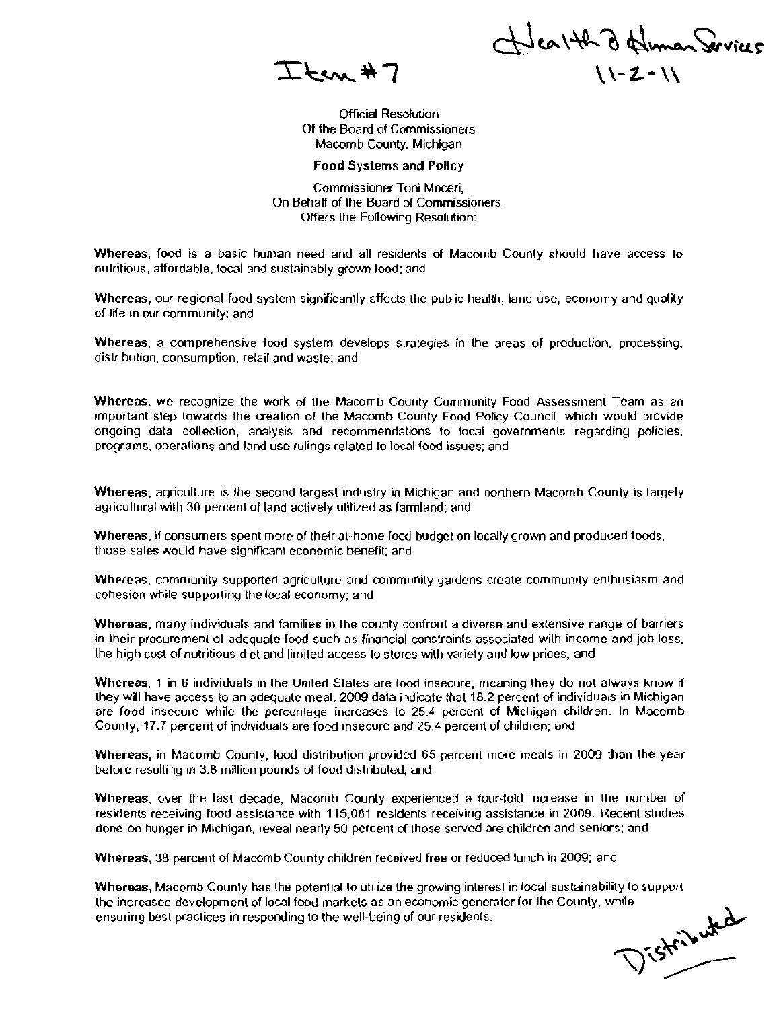$\sum$   $km$   $\ast$  7

wealth of Himan Services  $\sqrt{2-N}$ 

Official Resolution Of the Board of Commissioners Macomb County, Michigan

**Food** Systems **and** Policy

Commissioner Toni Moceri, On Behalf of the Board of Commissioners, Offers the Following Resolution:

Whereas, food is a basic human need and all residents of Macomb County should have access to nutritious, affordable, local and sustainably grown food; and

Whereas, our regional food system significantly affects the public health, land use, economy and quality of life in our community; and

Whereas, a comprehensive food system develops strategies in the areas of production, processing, distribution, consumption, felail and waste; and

Whereas, we recognize the work of the Macomb County Community Food Assessment Team as an important slep towards the crealion of the Macomb County Food Poticy Council, which would provide ongoing data collection, analysis and recommendations 10 local governments regarding policies. programs. operations and land use rulings related to local food issues; and

Whereas, agriculture is the second largest industry in Michigan and northern Macomb County is largely agricultural with 30 percent of land actively utilized as farmland; and

Whereas, if consumers spent more of their at-home food budget on locally grown and produced foods, those sales would have significant economic benefit; and

Whereas. community supported agricullure and community gardens create community enthusiasm and cohesion while supporting the local economy; and

Whereas, many individuals and families in the county confront a diverse and extensive range of barriers in their procurement of adequate food such as financial constraints associated with income and job loss, lhe high cosl of nutritious diet and limiled access 10 stores wilh variety and low prices; and

Whereas, 1 in 6 individuals in the United Stales are food insecure, meaning they do not always know if they will have access to an adequate meal. 2009 data indicate fhat18.2 percent of individuals in Michigan are food insecure while the percentage increases 10 25.4 percent of Michigan children. In Macomb County, 17.7 percent of individuals are food insecure and 25.4 percent of children; and

Whereas, in Macomb County, food distribution provided 65 percent more meals in 2009 than the year before resulting in 3.8 million pounds of food distribuled; and

Whereas. over the lasl decade, Macomb County experienced a four-fold increase in the number of residents receiving food assistance with 115,081 residents receiving assistance in 2009. Recent studies done on hunger in Michigan, reveal nearly 50 percent of those served are children and seniors; and

Whereas, 38 percent of Macomb County children received free or reduced lunch in 2009; and

Whereas, Macomb County has the potential to utilize the growing interest in local sustainability to support the increased development of local food markets as an economic generator (or the County, while<br>ensuring best practices in responding to the well-being of our residents. ensuring best practices in responding to the well-being of our residents.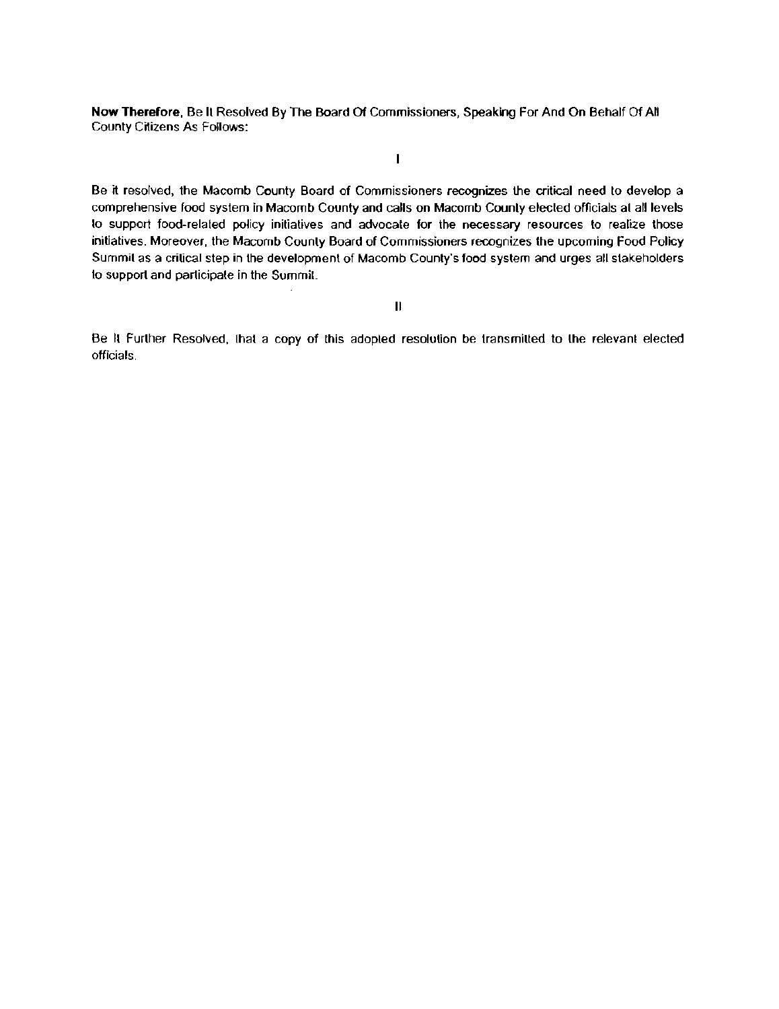Now Therefore, Be It Resolved By The Board Of Commissioners, Speaking For And On Behalf Of All County Citizens As Follows:

Be it resolved, the Macomb County Board of Commissioners recognizes the critical need to develop a comprehensive food system in Macomb County and calls on Macomb Counly elected officials at all levels 10 support food-related policy initiatives and advocate for the necessary resources to realize those initiatives. Moreover, the Macomb County Board of Commissioners recognizes the upcoming Food Policy Summit as a critical step in the development of Macomb County's food system and urges all stakeholders to support and participate in the Summit

 $\mathbf{I}$ 

II

Be It Further Resolved, that a copy of this adopted resolution be transmitted to the relevant elected officials.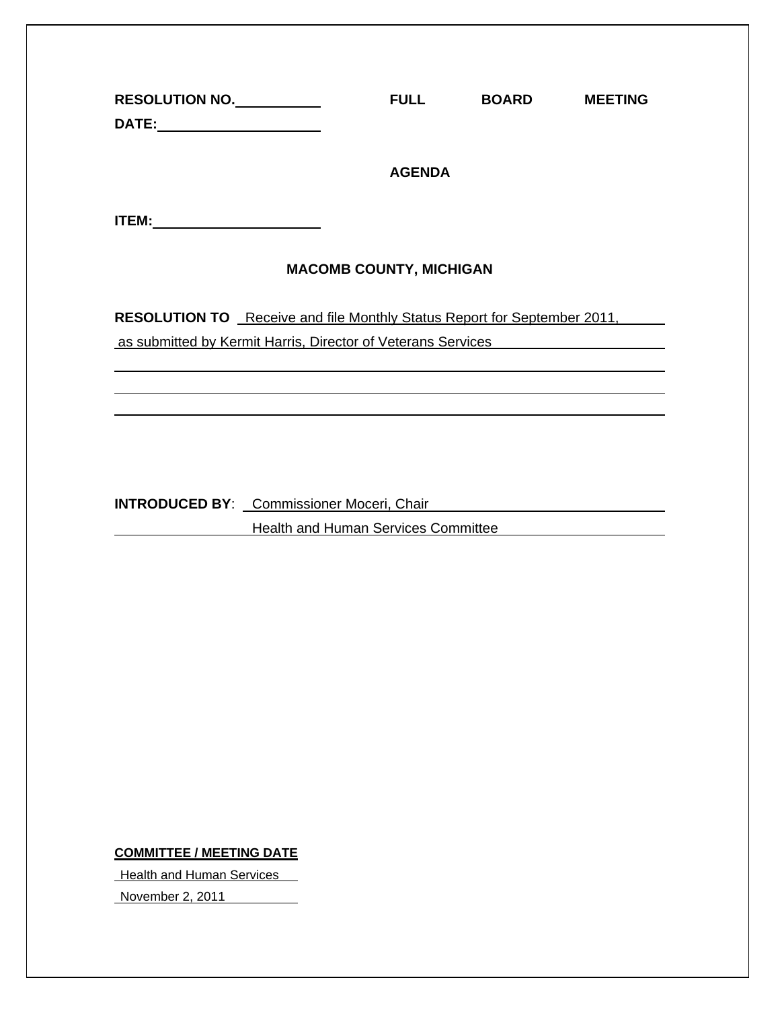| RESOLUTION NO.                                                                         |  | <b>FULL</b>                         | <b>BOARD</b> | <b>MEETING</b> |  |  |  |
|----------------------------------------------------------------------------------------|--|-------------------------------------|--------------|----------------|--|--|--|
|                                                                                        |  | <b>AGENDA</b>                       |              |                |  |  |  |
|                                                                                        |  |                                     |              |                |  |  |  |
| <b>MACOMB COUNTY, MICHIGAN</b>                                                         |  |                                     |              |                |  |  |  |
| RESOLUTION TO Receive and file Monthly Status Report for September 2011,               |  |                                     |              |                |  |  |  |
| as submitted by Kermit Harris, Director of Veterans Services                           |  |                                     |              |                |  |  |  |
|                                                                                        |  |                                     |              |                |  |  |  |
|                                                                                        |  |                                     |              |                |  |  |  |
|                                                                                        |  |                                     |              |                |  |  |  |
| <b>INTRODUCED BY:</b> Commissioner Moceri, Chair <b>Campaign Commission Commission</b> |  |                                     |              |                |  |  |  |
|                                                                                        |  | Health and Human Services Committee |              |                |  |  |  |
|                                                                                        |  |                                     |              |                |  |  |  |
|                                                                                        |  |                                     |              |                |  |  |  |
|                                                                                        |  |                                     |              |                |  |  |  |
|                                                                                        |  |                                     |              |                |  |  |  |

**COMMITTEE / MEETING DATE**

**Health and Human Services** 

November 2, 2011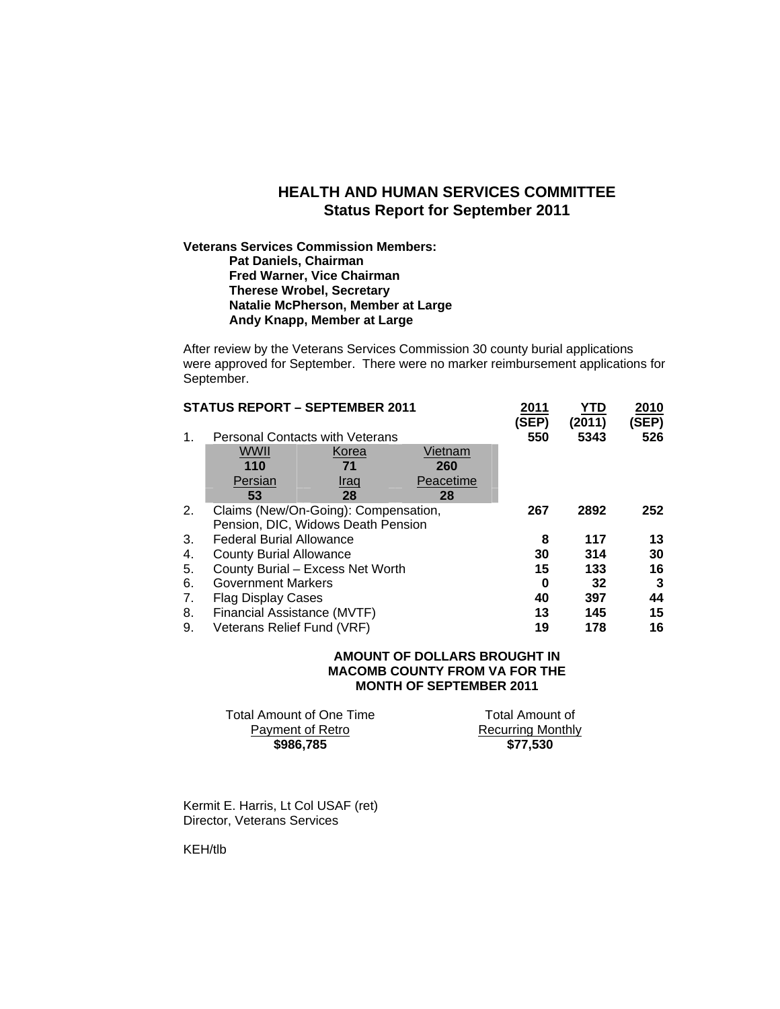#### **HEALTH AND HUMAN SERVICES COMMITTEE Status Report for September 2011**

#### **Veterans Services Commission Members: Pat Daniels, Chairman Fred Warner, Vice Chairman Therese Wrobel, Secretary Natalie McPherson, Member at Large Andy Knapp, Member at Large**

After review by the Veterans Services Commission 30 county burial applications were approved for September. There were no marker reimbursement applications for September.

|    | <b>STATUS REPORT - SEPTEMBER 2011</b>  |             |           | 2011<br>(SEP) | YTD<br>(2011) | 2010<br>(SEP) |
|----|----------------------------------------|-------------|-----------|---------------|---------------|---------------|
| 1. | <b>Personal Contacts with Veterans</b> |             |           | 550           | 5343          | 526           |
|    | WWII                                   | Korea       | Vietnam   |               |               |               |
|    | 110                                    | 71          | 260       |               |               |               |
|    | Persian                                | <u>Iraq</u> | Peacetime |               |               |               |
|    | 53                                     | 28          | 28        |               |               |               |
| 2. | Claims (New/On-Going): Compensation,   |             |           | 267           | 2892          | 252           |
|    | Pension, DIC, Widows Death Pension     |             |           |               |               |               |
| 3. | <b>Federal Burial Allowance</b>        |             |           | 8             | 117           | 13            |
| 4. | <b>County Burial Allowance</b>         |             |           | 30            | 314           | 30            |
| 5. | County Burial - Excess Net Worth       |             |           | 15            | 133           | 16            |
| 6. | <b>Government Markers</b>              |             |           | 0             | 32            | 3             |
| 7. | <b>Flag Display Cases</b>              |             |           | 40            | 397           | 44            |
| 8. | Financial Assistance (MVTF)            |             |           | 13            | 145           | 15            |
| 9. | Veterans Relief Fund (VRF)             |             |           | 19            | 178           | 16            |

#### **AMOUNT OF DOLLARS BROUGHT IN MACOMB COUNTY FROM VA FOR THE MONTH OF SEPTEMBER 2011**

| \$986,785                | \$77.530                 |
|--------------------------|--------------------------|
| Payment of Retro         | <b>Recurring Monthly</b> |
| Total Amount of One Time | Total Amount of          |

Kermit E. Harris, Lt Col USAF (ret) Director, Veterans Services

KEH/tlb